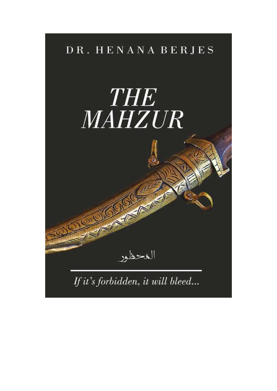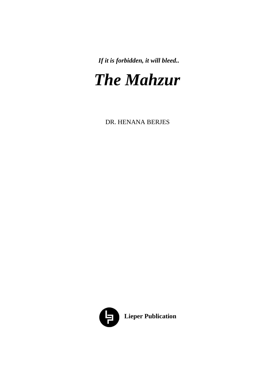*If it is forbidden, it will bleed..*

# *The Mahzur*

DR. HENANA BERJES

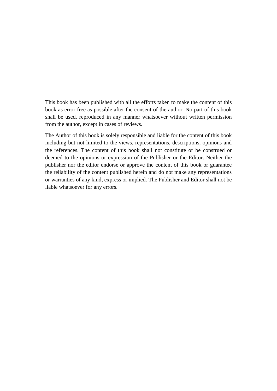This book has been published with all the efforts taken to make the content of this book as error free as possible after the consent of the author. No part of this book shall be used, reproduced in any manner whatsoever without written permission from the author, except in cases of reviews.

The Author of this book is solely responsible and liable for the content of this book including but not limited to the views, representations, descriptions, opinions and the references. The content of this book shall not constitute or be construed or deemed to the opinions or expression of the Publisher or the Editor. Neither the publisher nor the editor endorse or approve the content of this book or guarantee the reliability of the content published herein and do not make any representations or warranties of any kind, express or implied. The Publisher and Editor shall not be liable whatsoever for any errors.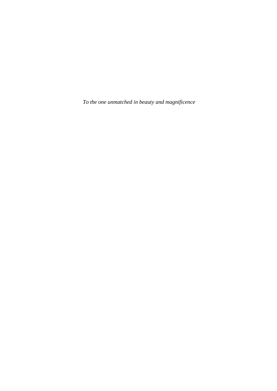*To the one unmatched in beauty and magnificence*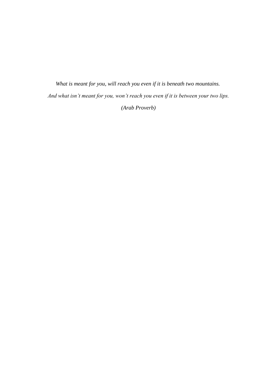*What is meant for you, will reach you even if it is beneath two mountains. And what isn't meant for you, won't reach you even if it is between your two lips. (Arab Proverb)*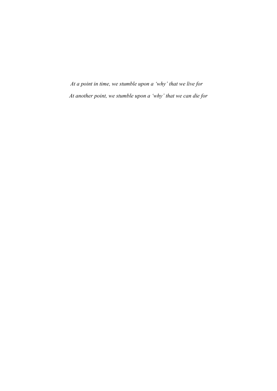*At a point in time, we stumble upon a 'why' that we live for At another point, we stumble upon a 'why' that we can die for*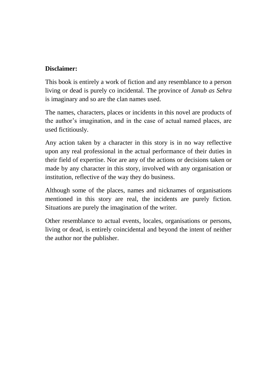#### **Disclaimer:**

This book is entirely a work of fiction and any resemblance to a person living or dead is purely co incidental. The province of *Janub as Sehra* is imaginary and so are the clan names used.

The names, characters, places or incidents in this novel are products of the author"s imagination, and in the case of actual named places, are used fictitiously.

Any action taken by a character in this story is in no way reflective upon any real professional in the actual performance of their duties in their field of expertise. Nor are any of the actions or decisions taken or made by any character in this story, involved with any organisation or institution, reflective of the way they do business.

Although some of the places, names and nicknames of organisations mentioned in this story are real, the incidents are purely fiction. Situations are purely the imagination of the writer.

Other resemblance to actual events, locales, organisations or persons, living or dead, is entirely coincidental and beyond the intent of neither the author nor the publisher.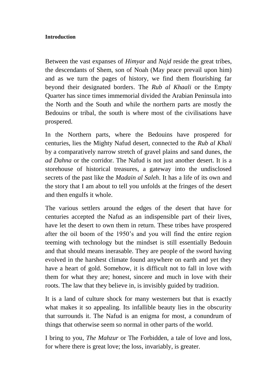#### **Introduction**

Between the vast expanses of *Himyar* and *Najd* reside the great tribes, the descendants of Shem, son of Noah (May peace prevail upon him) and as we turn the pages of history, we find them flourishing far beyond their designated borders. The *Rub al Khaali* or the Empty Quarter has since times immemorial divided the Arabian Peninsula into the North and the South and while the northern parts are mostly the Bedouins or tribal, the south is where most of the civilisations have prospered.

In the Northern parts, where the Bedouins have prospered for centuries, lies the Mighty Nafud desert, connected to the *Rub al Khali* by a comparatively narrow stretch of gravel plains and sand dunes, the *ad Dahna* or the corridor. The Nafud is not just another desert. It is a storehouse of historical treasures, a gateway into the undisclosed secrets of the past like the *Madain al Saleh*. It has a life of its own and the story that I am about to tell you unfolds at the fringes of the desert and then engulfs it whole.

The various settlers around the edges of the desert that have for centuries accepted the Nafud as an indispensible part of their lives, have let the desert to own them in return. These tribes have prospered after the oil boom of the 1950"s and you will find the entire region teeming with technology but the mindset is still essentially Bedouin and that should means inerasable. They are people of the sword having evolved in the harshest climate found anywhere on earth and yet they have a heart of gold. Somehow, it is difficult not to fall in love with them for what they are; honest, sincere and much in love with their roots. The law that they believe in, is invisibly guided by tradition.

It is a land of culture shock for many westerners but that is exactly what makes it so appealing. Its infallible beauty lies in the obscurity that surrounds it. The Nafud is an enigma for most, a conundrum of things that otherwise seem so normal in other parts of the world.

I bring to you, *The Mahzur* or The Forbidden, a tale of love and loss, for where there is great love; the loss, invariably, is greater.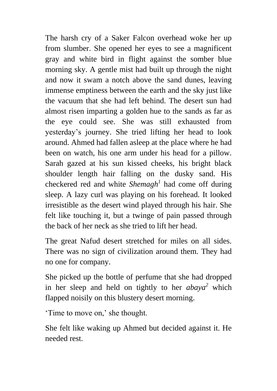The harsh cry of a Saker Falcon overhead woke her up from slumber. She opened her eyes to see a magnificent gray and white bird in flight against the somber blue morning sky. A gentle mist had built up through the night and now it swam a notch above the sand dunes, leaving immense emptiness between the earth and the sky just like the vacuum that she had left behind. The desert sun had almost risen imparting a golden hue to the sands as far as the eye could see. She was still exhausted from yesterday"s journey. She tried lifting her head to look around. Ahmed had fallen asleep at the place where he had been on watch, his one arm under his head for a pillow. Sarah gazed at his sun kissed cheeks, his bright black shoulder length hair falling on the dusky sand. His checkered red and white *Shemagh<sup>1</sup>* had come off during sleep. A lazy curl was playing on his forehead. It looked irresistible as the desert wind played through his hair. She felt like touching it, but a twinge of pain passed through the back of her neck as she tried to lift her head.

The great Nafud desert stretched for miles on all sides. There was no sign of civilization around them. They had no one for company.

She picked up the bottle of perfume that she had dropped in her sleep and held on tightly to her *abaya<sup>2</sup>* which flapped noisily on this blustery desert morning.

Time to move on,' she thought.

She felt like waking up Ahmed but decided against it. He needed rest.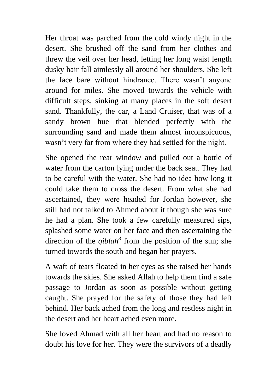Her throat was parched from the cold windy night in the desert. She brushed off the sand from her clothes and threw the veil over her head, letting her long waist length dusky hair fall aimlessly all around her shoulders. She left the face bare without hindrance. There wasn"t anyone around for miles. She moved towards the vehicle with difficult steps, sinking at many places in the soft desert sand. Thankfully, the car, a Land Cruiser, that was of a sandy brown hue that blended perfectly with the surrounding sand and made them almost inconspicuous, wasn't very far from where they had settled for the night.

She opened the rear window and pulled out a bottle of water from the carton lying under the back seat. They had to be careful with the water. She had no idea how long it could take them to cross the desert. From what she had ascertained, they were headed for Jordan however, she still had not talked to Ahmed about it though she was sure he had a plan. She took a few carefully measured sips, splashed some water on her face and then ascertaining the direction of the  $qiblah^3$  from the position of the sun; she turned towards the south and began her prayers.

A waft of tears floated in her eyes as she raised her hands towards the skies. She asked Allah to help them find a safe passage to Jordan as soon as possible without getting caught. She prayed for the safety of those they had left behind. Her back ached from the long and restless night in the desert and her heart ached even more.

She loved Ahmad with all her heart and had no reason to doubt his love for her. They were the survivors of a deadly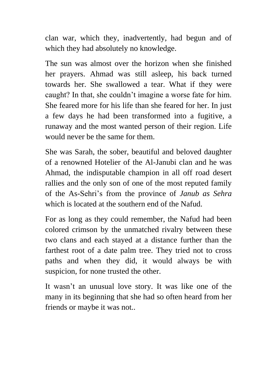clan war, which they, inadvertently, had begun and of which they had absolutely no knowledge.

The sun was almost over the horizon when she finished her prayers. Ahmad was still asleep, his back turned towards her. She swallowed a tear. What if they were caught? In that, she couldn"t imagine a worse fate for him. She feared more for his life than she feared for her. In just a few days he had been transformed into a fugitive, a runaway and the most wanted person of their region. Life would never be the same for them.

She was Sarah, the sober, beautiful and beloved daughter of a renowned Hotelier of the Al-Janubi clan and he was Ahmad, the indisputable champion in all off road desert rallies and the only son of one of the most reputed family of the As-Sehri"s from the province of *Janub as Sehra*  which is located at the southern end of the Nafud.

For as long as they could remember, the Nafud had been colored crimson by the unmatched rivalry between these two clans and each stayed at a distance further than the farthest root of a date palm tree. They tried not to cross paths and when they did, it would always be with suspicion, for none trusted the other.

It wasn"t an unusual love story. It was like one of the many in its beginning that she had so often heard from her friends or maybe it was not..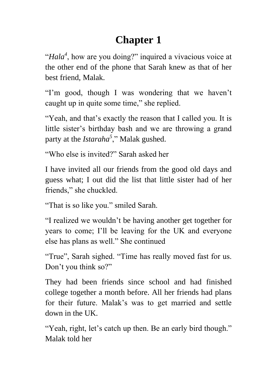# **Chapter 1**

"*Hala<sup>4</sup>* , how are you doing?" inquired a vivacious voice at the other end of the phone that Sarah knew as that of her best friend, Malak.

"I'm good, though I was wondering that we haven't caught up in quite some time," she replied.

"Yeah, and that's exactly the reason that I called you. It is little sister's birthday bash and we are throwing a grand party at the *Istaraha<sup>5</sup>* ," Malak gushed.

"Who else is invited?" Sarah asked her

I have invited all our friends from the good old days and guess what; I out did the list that little sister had of her friends," she chuckled.

"That is so like you." smiled Sarah.

"I realized we wouldn"t be having another get together for years to come; I"ll be leaving for the UK and everyone else has plans as well." She continued

"True", Sarah sighed. "Time has really moved fast for us. Don't you think so?"

They had been friends since school and had finished college together a month before. All her friends had plans for their future. Malak"s was to get married and settle down in the UK.

"Yeah, right, let's catch up then. Be an early bird though." Malak told her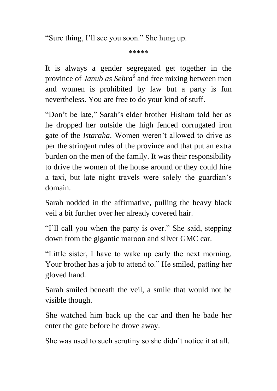"Sure thing, I"ll see you soon." She hung up.

\*\*\*\*\*

It is always a gender segregated get together in the province of *Janub as Sehra<sup>6</sup>* and free mixing between men and women is prohibited by law but a party is fun nevertheless. You are free to do your kind of stuff.

"Don't be late," Sarah's elder brother Hisham told her as he dropped her outside the high fenced corrugated iron gate of the *Istaraha*. Women weren"t allowed to drive as per the stringent rules of the province and that put an extra burden on the men of the family. It was their responsibility to drive the women of the house around or they could hire a taxi, but late night travels were solely the guardian"s domain.

Sarah nodded in the affirmative, pulling the heavy black veil a bit further over her already covered hair.

"I"ll call you when the party is over." She said, stepping down from the gigantic maroon and silver GMC car.

"Little sister, I have to wake up early the next morning. Your brother has a job to attend to." He smiled, patting her gloved hand.

Sarah smiled beneath the veil, a smile that would not be visible though.

She watched him back up the car and then he bade her enter the gate before he drove away.

She was used to such scrutiny so she didn"t notice it at all.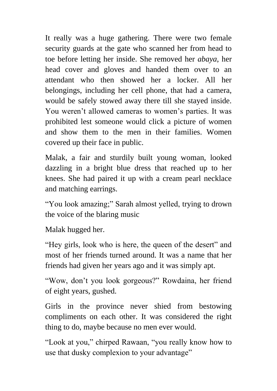It really was a huge gathering. There were two female security guards at the gate who scanned her from head to toe before letting her inside. She removed her *abaya*, her head cover and gloves and handed them over to an attendant who then showed her a locker. All her belongings, including her cell phone, that had a camera, would be safely stowed away there till she stayed inside. You weren't allowed cameras to women's parties. It was prohibited lest someone would click a picture of women and show them to the men in their families. Women covered up their face in public.

Malak, a fair and sturdily built young woman, looked dazzling in a bright blue dress that reached up to her knees. She had paired it up with a cream pearl necklace and matching earrings.

"You look amazing;" Sarah almost yelled, trying to drown the voice of the blaring music

Malak hugged her.

"Hey girls, look who is here, the queen of the desert" and most of her friends turned around. It was a name that her friends had given her years ago and it was simply apt.

"Wow, don"t you look gorgeous?" Rowdaina, her friend of eight years, gushed.

Girls in the province never shied from bestowing compliments on each other. It was considered the right thing to do, maybe because no men ever would.

"Look at you," chirped Rawaan, "you really know how to use that dusky complexion to your advantage"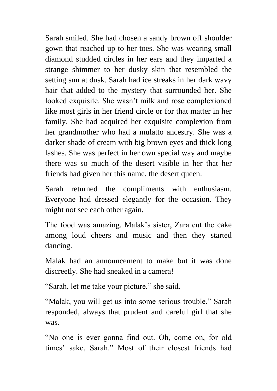Sarah smiled. She had chosen a sandy brown off shoulder gown that reached up to her toes. She was wearing small diamond studded circles in her ears and they imparted a strange shimmer to her dusky skin that resembled the setting sun at dusk. Sarah had ice streaks in her dark wavy hair that added to the mystery that surrounded her. She looked exquisite. She wasn't milk and rose complexioned like most girls in her friend circle or for that matter in her family. She had acquired her exquisite complexion from her grandmother who had a mulatto ancestry. She was a darker shade of cream with big brown eyes and thick long lashes. She was perfect in her own special way and maybe there was so much of the desert visible in her that her friends had given her this name, the desert queen.

Sarah returned the compliments with enthusiasm. Everyone had dressed elegantly for the occasion. They might not see each other again.

The food was amazing. Malak"s sister, Zara cut the cake among loud cheers and music and then they started dancing.

Malak had an announcement to make but it was done discreetly. She had sneaked in a camera!

"Sarah, let me take your picture," she said.

"Malak, you will get us into some serious trouble." Sarah responded, always that prudent and careful girl that she was.

"No one is ever gonna find out. Oh, come on, for old times" sake, Sarah." Most of their closest friends had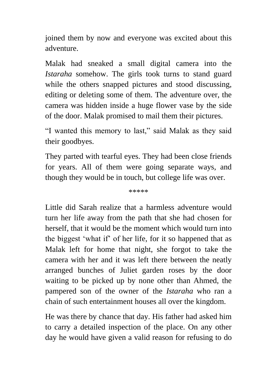joined them by now and everyone was excited about this adventure.

Malak had sneaked a small digital camera into the *Istaraha* somehow. The girls took turns to stand guard while the others snapped pictures and stood discussing, editing or deleting some of them. The adventure over, the camera was hidden inside a huge flower vase by the side of the door. Malak promised to mail them their pictures.

"I wanted this memory to last," said Malak as they said their goodbyes.

They parted with tearful eyes. They had been close friends for years. All of them were going separate ways, and though they would be in touch, but college life was over.

\*\*\*\*\*

Little did Sarah realize that a harmless adventure would turn her life away from the path that she had chosen for herself, that it would be the moment which would turn into the biggest "what if" of her life, for it so happened that as Malak left for home that night, she forgot to take the camera with her and it was left there between the neatly arranged bunches of Juliet garden roses by the door waiting to be picked up by none other than Ahmed, the pampered son of the owner of the *Istaraha* who ran a chain of such entertainment houses all over the kingdom.

He was there by chance that day. His father had asked him to carry a detailed inspection of the place. On any other day he would have given a valid reason for refusing to do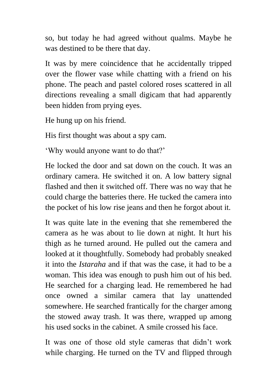so, but today he had agreed without qualms. Maybe he was destined to be there that day.

It was by mere coincidence that he accidentally tripped over the flower vase while chatting with a friend on his phone. The peach and pastel colored roses scattered in all directions revealing a small digicam that had apparently been hidden from prying eyes.

He hung up on his friend.

His first thought was about a spy cam.

'Why would anyone want to do that?'

He locked the door and sat down on the couch. It was an ordinary camera. He switched it on. A low battery signal flashed and then it switched off. There was no way that he could charge the batteries there. He tucked the camera into the pocket of his low rise jeans and then he forgot about it.

It was quite late in the evening that she remembered the camera as he was about to lie down at night. It hurt his thigh as he turned around. He pulled out the camera and looked at it thoughtfully. Somebody had probably sneaked it into the *Istaraha* and if that was the case, it had to be a woman. This idea was enough to push him out of his bed. He searched for a charging lead. He remembered he had once owned a similar camera that lay unattended somewhere. He searched frantically for the charger among the stowed away trash. It was there, wrapped up among his used socks in the cabinet. A smile crossed his face.

It was one of those old style cameras that didn"t work while charging. He turned on the TV and flipped through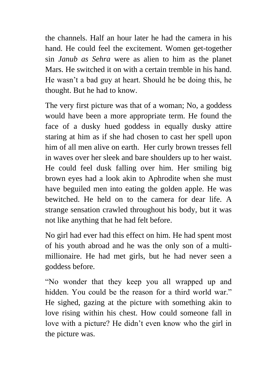the channels. Half an hour later he had the camera in his hand. He could feel the excitement. Women get-together sin *Janub as Sehra* were as alien to him as the planet Mars. He switched it on with a certain tremble in his hand. He wasn"t a bad guy at heart. Should he be doing this, he thought. But he had to know.

The very first picture was that of a woman; No, a goddess would have been a more appropriate term. He found the face of a dusky hued goddess in equally dusky attire staring at him as if she had chosen to cast her spell upon him of all men alive on earth. Her curly brown tresses fell in waves over her sleek and bare shoulders up to her waist. He could feel dusk falling over him. Her smiling big brown eyes had a look akin to Aphrodite when she must have beguiled men into eating the golden apple. He was bewitched. He held on to the camera for dear life. A strange sensation crawled throughout his body, but it was not like anything that he had felt before.

No girl had ever had this effect on him. He had spent most of his youth abroad and he was the only son of a multimillionaire. He had met girls, but he had never seen a goddess before.

"No wonder that they keep you all wrapped up and hidden. You could be the reason for a third world war." He sighed, gazing at the picture with something akin to love rising within his chest. How could someone fall in love with a picture? He didn"t even know who the girl in the picture was.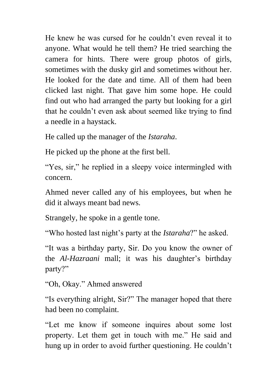He knew he was cursed for he couldn"t even reveal it to anyone. What would he tell them? He tried searching the camera for hints. There were group photos of girls, sometimes with the dusky girl and sometimes without her. He looked for the date and time. All of them had been clicked last night. That gave him some hope. He could find out who had arranged the party but looking for a girl that he couldn"t even ask about seemed like trying to find a needle in a haystack.

He called up the manager of the *Istaraha*.

He picked up the phone at the first bell.

"Yes, sir," he replied in a sleepy voice intermingled with concern.

Ahmed never called any of his employees, but when he did it always meant bad news.

Strangely, he spoke in a gentle tone.

"Who hosted last night"s party at the *Istaraha*?" he asked.

"It was a birthday party, Sir. Do you know the owner of the *Al-Hazraani* mall; it was his daughter's birthday party?"

"Oh, Okay." Ahmed answered

"Is everything alright, Sir?" The manager hoped that there had been no complaint.

"Let me know if someone inquires about some lost property. Let them get in touch with me." He said and hung up in order to avoid further questioning. He couldn"t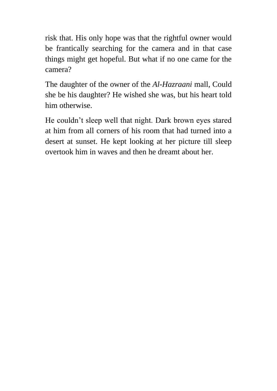risk that. His only hope was that the rightful owner would be frantically searching for the camera and in that case things might get hopeful. But what if no one came for the camera?

The daughter of the owner of the *Al-Hazraani* mall, Could she be his daughter? He wished she was, but his heart told him otherwise.

He couldn't sleep well that night. Dark brown eyes stared at him from all corners of his room that had turned into a desert at sunset. He kept looking at her picture till sleep overtook him in waves and then he dreamt about her.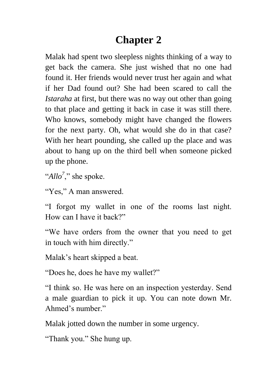## **Chapter 2**

Malak had spent two sleepless nights thinking of a way to get back the camera. She just wished that no one had found it. Her friends would never trust her again and what if her Dad found out? She had been scared to call the *Istaraha* at first, but there was no way out other than going to that place and getting it back in case it was still there. Who knows, somebody might have changed the flowers for the next party. Oh, what would she do in that case? With her heart pounding, she called up the place and was about to hang up on the third bell when someone picked up the phone.

"*Allo<sup>7</sup>*," she spoke.

"Yes," A man answered.

"I forgot my wallet in one of the rooms last night. How can I have it back?"

"We have orders from the owner that you need to get in touch with him directly."

Malak"s heart skipped a beat.

"Does he, does he have my wallet?"

"I think so. He was here on an inspection yesterday. Send a male guardian to pick it up. You can note down Mr. Ahmed"s number."

Malak jotted down the number in some urgency.

"Thank you." She hung up.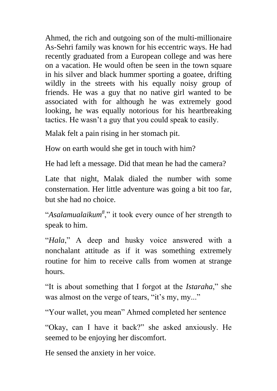Ahmed, the rich and outgoing son of the multi-millionaire As-Sehri family was known for his eccentric ways. He had recently graduated from a European college and was here on a vacation. He would often be seen in the town square in his silver and black hummer sporting a goatee, drifting wildly in the streets with his equally noisy group of friends. He was a guy that no native girl wanted to be associated with for although he was extremely good looking, he was equally notorious for his heartbreaking tactics. He wasn"t a guy that you could speak to easily.

Malak felt a pain rising in her stomach pit.

How on earth would she get in touch with him?

He had left a message. Did that mean he had the camera?

Late that night, Malak dialed the number with some consternation. Her little adventure was going a bit too far, but she had no choice.

"*Asalamualaikum<sup>8</sup>* ," it took every ounce of her strength to speak to him.

"*Hala*," A deep and husky voice answered with a nonchalant attitude as if it was something extremely routine for him to receive calls from women at strange hours.

"It is about something that I forgot at the *Istaraha*," she was almost on the verge of tears, "it's my, my..."

"Your wallet, you mean" Ahmed completed her sentence

"Okay, can I have it back?" she asked anxiously. He seemed to be enjoying her discomfort.

He sensed the anxiety in her voice.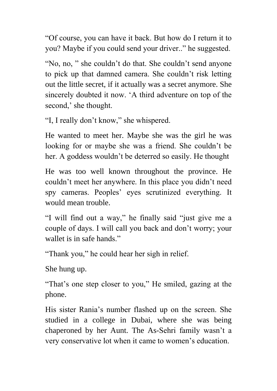"Of course, you can have it back. But how do I return it to you? Maybe if you could send your driver.." he suggested.

"No, no, " she couldn"t do that. She couldn"t send anyone to pick up that damned camera. She couldn"t risk letting out the little secret, if it actually was a secret anymore. She sincerely doubted it now. "A third adventure on top of the second,' she thought.

"I, I really don"t know," she whispered.

He wanted to meet her. Maybe she was the girl he was looking for or maybe she was a friend. She couldn't be her. A goddess wouldn"t be deterred so easily. He thought

He was too well known throughout the province. He couldn"t meet her anywhere. In this place you didn"t need spy cameras. Peoples' eyes scrutinized everything. It would mean trouble.

"I will find out a way," he finally said "just give me a couple of days. I will call you back and don"t worry; your wallet is in safe hands."

"Thank you," he could hear her sigh in relief.

She hung up.

"That's one step closer to you," He smiled, gazing at the phone.

His sister Rania"s number flashed up on the screen. She studied in a college in Dubai, where she was being chaperoned by her Aunt. The As-Sehri family wasn"t a very conservative lot when it came to women"s education.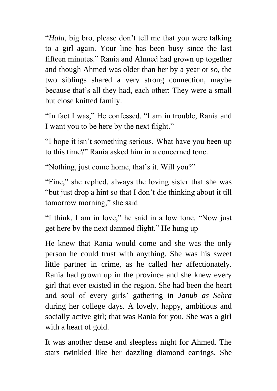"*Hala,* big bro, please don"t tell me that you were talking to a girl again. Your line has been busy since the last fifteen minutes." Rania and Ahmed had grown up together and though Ahmed was older than her by a year or so, the two siblings shared a very strong connection, maybe because that"s all they had, each other: They were a small but close knitted family.

"In fact I was," He confessed. "I am in trouble, Rania and I want you to be here by the next flight."

"I hope it isn"t something serious. What have you been up to this time?" Rania asked him in a concerned tone.

"Nothing, just come home, that's it. Will you?"

"Fine," she replied, always the loving sister that she was "but just drop a hint so that I don"t die thinking about it till tomorrow morning," she said

"I think, I am in love," he said in a low tone. "Now just get here by the next damned flight." He hung up

He knew that Rania would come and she was the only person he could trust with anything. She was his sweet little partner in crime, as he called her affectionately. Rania had grown up in the province and she knew every girl that ever existed in the region. She had been the heart and soul of every girls" gathering in *Janub as Sehra* during her college days. A lovely, happy, ambitious and socially active girl; that was Rania for you. She was a girl with a heart of gold.

It was another dense and sleepless night for Ahmed. The stars twinkled like her dazzling diamond earrings. She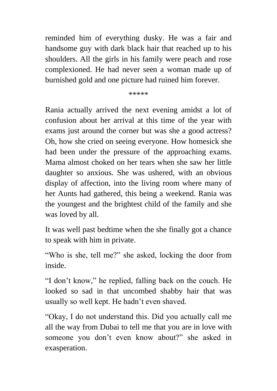reminded him of everything dusky. He was a fair and handsome guy with dark black hair that reached up to his shoulders. All the girls in his family were peach and rose complexioned. He had never seen a woman made up of burnished gold and one picture had ruined him forever.

\*\*\*\*\*

Rania actually arrived the next evening amidst a lot of confusion about her arrival at this time of the year with exams just around the corner but was she a good actress? Oh, how she cried on seeing everyone. How homesick she had been under the pressure of the approaching exams. Mama almost choked on her tears when she saw her little daughter so anxious. She was ushered, with an obvious display of affection, into the living room where many of her Aunts had gathered, this being a weekend. Rania was the youngest and the brightest child of the family and she was loved by all.

It was well past bedtime when the she finally got a chance to speak with him in private.

"Who is she, tell me?" she asked, locking the door from inside.

"I don"t know," he replied, falling back on the couch. He looked so sad in that uncombed shabby hair that was usually so well kept. He hadn"t even shaved.

"Okay, I do not understand this. Did you actually call me all the way from Dubai to tell me that you are in love with someone you don"t even know about?" she asked in exasperation.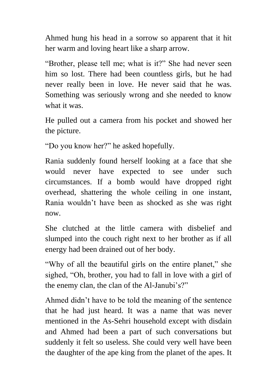Ahmed hung his head in a sorrow so apparent that it hit her warm and loving heart like a sharp arrow.

"Brother, please tell me; what is it?" She had never seen him so lost. There had been countless girls, but he had never really been in love. He never said that he was. Something was seriously wrong and she needed to know what it was.

He pulled out a camera from his pocket and showed her the picture.

"Do you know her?" he asked hopefully.

Rania suddenly found herself looking at a face that she would never have expected to see under such circumstances. If a bomb would have dropped right overhead, shattering the whole ceiling in one instant, Rania wouldn"t have been as shocked as she was right now.

She clutched at the little camera with disbelief and slumped into the couch right next to her brother as if all energy had been drained out of her body.

"Why of all the beautiful girls on the entire planet," she sighed, "Oh, brother, you had to fall in love with a girl of the enemy clan, the clan of the Al-Janubi's?"

Ahmed didn"t have to be told the meaning of the sentence that he had just heard. It was a name that was never mentioned in the As-Sehri household except with disdain and Ahmed had been a part of such conversations but suddenly it felt so useless. She could very well have been the daughter of the ape king from the planet of the apes. It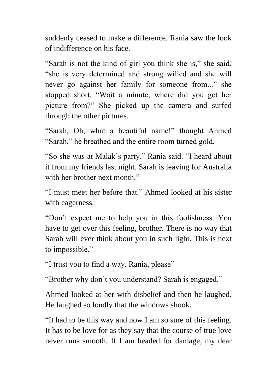suddenly ceased to make a difference. Rania saw the look of indifference on his face.

"Sarah is not the kind of girl you think she is," she said, "she is very determined and strong willed and she will never go against her family for someone from..." she stopped short. "Wait a minute, where did you get her picture from?" She picked up the camera and surfed through the other pictures.

"Sarah, Oh, what a beautiful name!" thought Ahmed "Sarah," he breathed and the entire room turned gold.

"So she was at Malak"s party." Rania said. "I heard about it from my friends last night. Sarah is leaving for Australia with her brother next month."

"I must meet her before that." Ahmed looked at his sister with eagerness.

"Don"t expect me to help you in this foolishness. You have to get over this feeling, brother. There is no way that Sarah will ever think about you in such light. This is next to impossible."

"I trust you to find a way, Rania, please"

"Brother why don"t you understand? Sarah is engaged."

Ahmed looked at her with disbelief and then he laughed. He laughed so loudly that the windows shook.

"It had to be this way and now I am so sure of this feeling. It has to be love for as they say that the course of true love never runs smooth. If I am headed for damage, my dear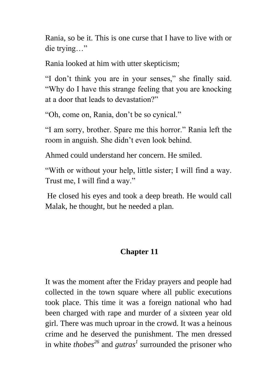Rania, so be it. This is one curse that I have to live with or die trying…"

Rania looked at him with utter skepticism;

"I don"t think you are in your senses," she finally said. "Why do I have this strange feeling that you are knocking at a door that leads to devastation?"

"Oh, come on, Rania, don"t be so cynical."

"I am sorry, brother. Spare me this horror." Rania left the room in anguish. She didn"t even look behind.

Ahmed could understand her concern. He smiled.

"With or without your help, little sister; I will find a way. Trust me, I will find a way."

He closed his eyes and took a deep breath. He would call Malak, he thought, but he needed a plan.

#### **Chapter 11**

It was the moment after the Friday prayers and people had collected in the town square where all public executions took place. This time it was a foreign national who had been charged with rape and murder of a sixteen year old girl. There was much uproar in the crowd. It was a heinous crime and he deserved the punishment. The men dressed in white *thobes<sup>26</sup>* and *gutras<sup>1</sup>* surrounded the prisoner who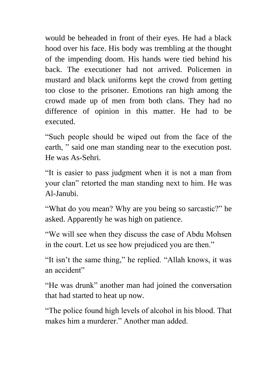would be beheaded in front of their eyes. He had a black hood over his face. His body was trembling at the thought of the impending doom. His hands were tied behind his back. The executioner had not arrived. Policemen in mustard and black uniforms kept the crowd from getting too close to the prisoner. Emotions ran high among the crowd made up of men from both clans. They had no difference of opinion in this matter. He had to be executed.

"Such people should be wiped out from the face of the earth, " said one man standing near to the execution post. He was As-Sehri.

"It is easier to pass judgment when it is not a man from your clan" retorted the man standing next to him. He was Al-Janubi.

"What do you mean? Why are you being so sarcastic?" he asked. Apparently he was high on patience.

"We will see when they discuss the case of Abdu Mohsen in the court. Let us see how prejudiced you are then."

"It isn"t the same thing," he replied. "Allah knows, it was an accident"

"He was drunk" another man had joined the conversation that had started to heat up now.

"The police found high levels of alcohol in his blood. That makes him a murderer." Another man added.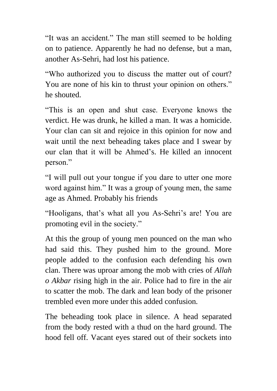"It was an accident." The man still seemed to be holding on to patience. Apparently he had no defense, but a man, another As-Sehri, had lost his patience.

"Who authorized you to discuss the matter out of court? You are none of his kin to thrust your opinion on others." he shouted.

"This is an open and shut case. Everyone knows the verdict. He was drunk, he killed a man. It was a homicide. Your clan can sit and rejoice in this opinion for now and wait until the next beheading takes place and I swear by our clan that it will be Ahmed"s. He killed an innocent person."

"I will pull out your tongue if you dare to utter one more word against him." It was a group of young men, the same age as Ahmed. Probably his friends

"Hooligans, that's what all you As-Sehri's are! You are promoting evil in the society."

At this the group of young men pounced on the man who had said this. They pushed him to the ground. More people added to the confusion each defending his own clan. There was uproar among the mob with cries of *Allah o Akbar* rising high in the air. Police had to fire in the air to scatter the mob. The dark and lean body of the prisoner trembled even more under this added confusion.

The beheading took place in silence. A head separated from the body rested with a thud on the hard ground. The hood fell off. Vacant eyes stared out of their sockets into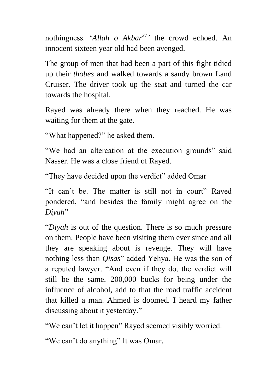nothingness. "*Allah o Akbar<sup>27</sup> '* the crowd echoed. An innocent sixteen year old had been avenged.

The group of men that had been a part of this fight tidied up their *thobes* and walked towards a sandy brown Land Cruiser. The driver took up the seat and turned the car towards the hospital.

Rayed was already there when they reached. He was waiting for them at the gate.

"What happened?" he asked them.

"We had an altercation at the execution grounds" said Nasser. He was a close friend of Rayed.

"They have decided upon the verdict" added Omar

"It can"t be. The matter is still not in court" Rayed pondered, "and besides the family might agree on the *Diyah*"

"*Diyah* is out of the question. There is so much pressure on them. People have been visiting them ever since and all they are speaking about is revenge. They will have nothing less than *Qisas*" added Yehya. He was the son of a reputed lawyer. "And even if they do, the verdict will still be the same. 200,000 bucks for being under the influence of alcohol, add to that the road traffic accident that killed a man. Ahmed is doomed. I heard my father discussing about it yesterday."

"We can"t let it happen" Rayed seemed visibly worried.

"We can't do anything" It was Omar.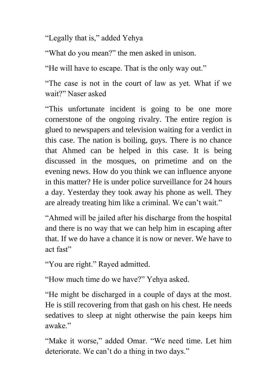"Legally that is," added Yehya

"What do you mean?" the men asked in unison.

"He will have to escape. That is the only way out."

"The case is not in the court of law as yet. What if we wait?" Naser asked

"This unfortunate incident is going to be one more cornerstone of the ongoing rivalry. The entire region is glued to newspapers and television waiting for a verdict in this case. The nation is boiling, guys. There is no chance that Ahmed can be helped in this case. It is being discussed in the mosques, on primetime and on the evening news. How do you think we can influence anyone in this matter? He is under police surveillance for 24 hours a day. Yesterday they took away his phone as well. They are already treating him like a criminal. We can"t wait."

"Ahmed will be jailed after his discharge from the hospital and there is no way that we can help him in escaping after that. If we do have a chance it is now or never. We have to act fast"

"You are right." Rayed admitted.

"How much time do we have?" Yehya asked.

"He might be discharged in a couple of days at the most. He is still recovering from that gash on his chest. He needs sedatives to sleep at night otherwise the pain keeps him awake."

"Make it worse," added Omar. "We need time. Let him deteriorate. We can't do a thing in two days."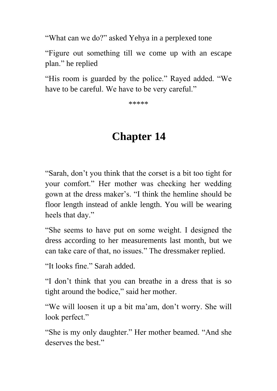"What can we do?" asked Yehya in a perplexed tone

"Figure out something till we come up with an escape plan." he replied

"His room is guarded by the police." Rayed added. "We have to be careful. We have to be very careful."

\*\*\*\*\*

## **Chapter 14**

"Sarah, don"t you think that the corset is a bit too tight for your comfort." Her mother was checking her wedding gown at the dress maker"s. "I think the hemline should be floor length instead of ankle length. You will be wearing heels that day."

"She seems to have put on some weight. I designed the dress according to her measurements last month, but we can take care of that, no issues." The dressmaker replied.

"It looks fine." Sarah added.

"I don"t think that you can breathe in a dress that is so tight around the bodice," said her mother.

"We will loosen it up a bit ma"am, don"t worry. She will look perfect."

"She is my only daughter." Her mother beamed. "And she deserves the best."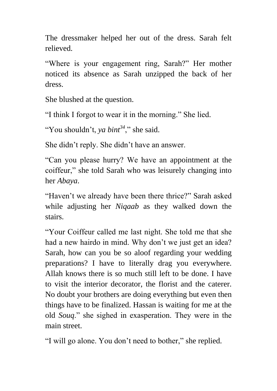The dressmaker helped her out of the dress. Sarah felt relieved.

"Where is your engagement ring, Sarah?" Her mother noticed its absence as Sarah unzipped the back of her dress.

She blushed at the question.

"I think I forgot to wear it in the morning." She lied.

"You shouldn"t, *ya bint<sup>34</sup>*," she said.

She didn"t reply. She didn"t have an answer.

"Can you please hurry? We have an appointment at the coiffeur," she told Sarah who was leisurely changing into her *Abaya*.

"Haven"t we already have been there thrice?" Sarah asked while adjusting her *Niqaab* as they walked down the stairs.

"Your Coiffeur called me last night. She told me that she had a new hairdo in mind. Why don't we just get an idea? Sarah, how can you be so aloof regarding your wedding preparations? I have to literally drag you everywhere. Allah knows there is so much still left to be done. I have to visit the interior decorator, the florist and the caterer. No doubt your brothers are doing everything but even then things have to be finalized. Hassan is waiting for me at the old *Souq*." she sighed in exasperation. They were in the main street.

"I will go alone. You don"t need to bother," she replied.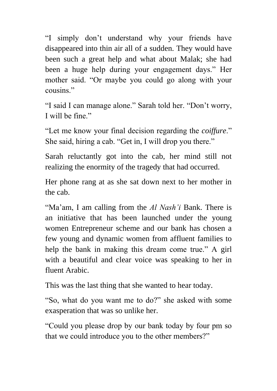"I simply don"t understand why your friends have disappeared into thin air all of a sudden. They would have been such a great help and what about Malak; she had been a huge help during your engagement days." Her mother said. "Or maybe you could go along with your cousins."

"I said I can manage alone." Sarah told her. "Don"t worry, I will be fine"

"Let me know your final decision regarding the *coiffure*." She said, hiring a cab. "Get in, I will drop you there."

Sarah reluctantly got into the cab, her mind still not realizing the enormity of the tragedy that had occurred.

Her phone rang at as she sat down next to her mother in the cab.

"Ma'am, I am calling from the *Al Nash'i* Bank. There is an initiative that has been launched under the young women Entrepreneur scheme and our bank has chosen a few young and dynamic women from affluent families to help the bank in making this dream come true." A girl with a beautiful and clear voice was speaking to her in fluent Arabic.

This was the last thing that she wanted to hear today.

"So, what do you want me to do?" she asked with some exasperation that was so unlike her.

"Could you please drop by our bank today by four pm so that we could introduce you to the other members?"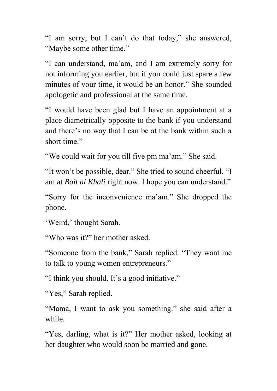"I am sorry, but I can"t do that today," she answered, "Maybe some other time."

"I can understand, ma"am, and I am extremely sorry for not informing you earlier, but if you could just spare a few minutes of your time, it would be an honor." She sounded apologetic and professional at the same time.

"I would have been glad but I have an appointment at a place diametrically opposite to the bank if you understand and there"s no way that I can be at the bank within such a short time."

"We could wait for you till five pm ma'am." She said.

"It won"t be possible, dear." She tried to sound cheerful. "I am at *Bait al Khali* right now. I hope you can understand."

"Sorry for the inconvenience ma'am." She dropped the phone.

'Weird,' thought Sarah.

"Who was it?" her mother asked.

"Someone from the bank," Sarah replied. "They want me to talk to young women entrepreneurs."

"I think you should. It's a good initiative."

"Yes," Sarah replied.

"Mama, I want to ask you something." she said after a while.

"Yes, darling, what is it?" Her mother asked, looking at her daughter who would soon be married and gone.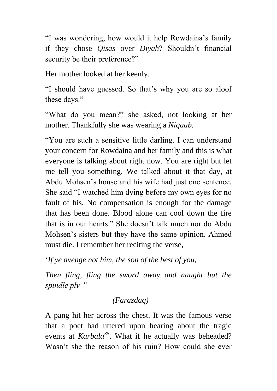"I was wondering, how would it help Rowdaina"s family if they chose *Qisas* over *Diyah*? Shouldn"t financial security be their preference?"

Her mother looked at her keenly.

"I should have guessed. So that"s why you are so aloof these days."

"What do you mean?" she asked, not looking at her mother. Thankfully she was wearing a *Niqaab.*

"You are such a sensitive little darling. I can understand your concern for Rowdaina and her family and this is what everyone is talking about right now. You are right but let me tell you something. We talked about it that day, at Abdu Mohsen"s house and his wife had just one sentence. She said "I watched him dying before my own eyes for no fault of his, No compensation is enough for the damage that has been done. Blood alone can cool down the fire that is in our hearts." She doesn"t talk much nor do Abdu Mohsen"s sisters but they have the same opinion. Ahmed must die. I remember her reciting the verse,

"*If ye avenge not him, the son of the best of you,* 

*Then fling, fling the sword away and naught but the spindle ply'"*

### *(Farazdaq)*

A pang hit her across the chest. It was the famous verse that a poet had uttered upon hearing about the tragic events at *Karbala<sup>35</sup>*. What if he actually was beheaded? Wasn"t she the reason of his ruin? How could she ever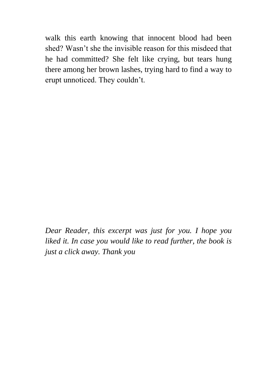walk this earth knowing that innocent blood had been shed? Wasn't she the invisible reason for this misdeed that he had committed? She felt like crying, but tears hung there among her brown lashes, trying hard to find a way to erupt unnoticed. They couldn"t.

*Dear Reader, this excerpt was just for you. I hope you liked it. In case you would like to read further, the book is just a click away. Thank you*